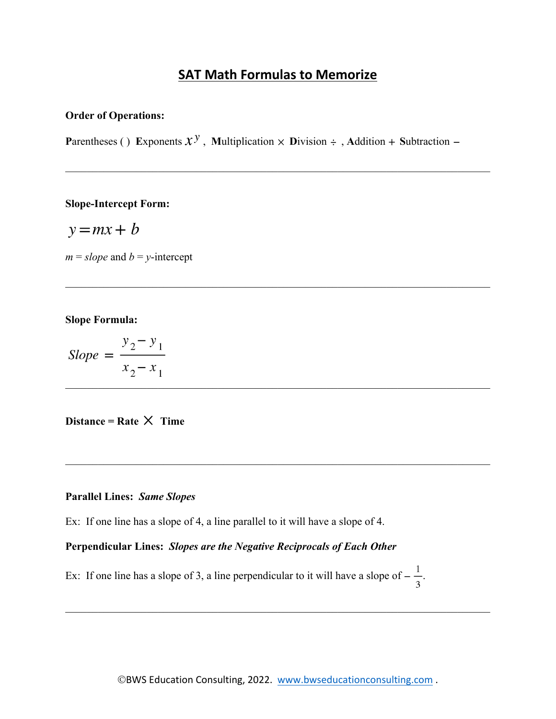# **SAT Math Formulas to Memorize**

#### **Order of Operations:**

**P**arentheses () **Exponents**  $\mathcal{X}^{\mathcal{Y}}$ , **Multiplication**  $\times$  **<b>D**ivision  $\div$ , **Addition + Subtraction –** 

#### **Slope-Intercept Form:**

$$
y = mx + b
$$

 $m = slope$  and  $b = y$ -intercept

#### **Slope Formula:**

$$
Slope = \frac{y_2 - y_1}{x_2 - x_1}
$$

## **Distance = Rate**  $\times$  **Time**

#### **Parallel Lines:** *Same Slopes*

Ex: If one line has a slope of 4, a line parallel to it will have a slope of 4.

## **Perpendicular Lines:** *Slopes are the Negative Reciprocals of Each Other*

Ex: If one line has a slope of 3, a line perpendicular to it will have a slope of  $-\frac{1}{3}$ .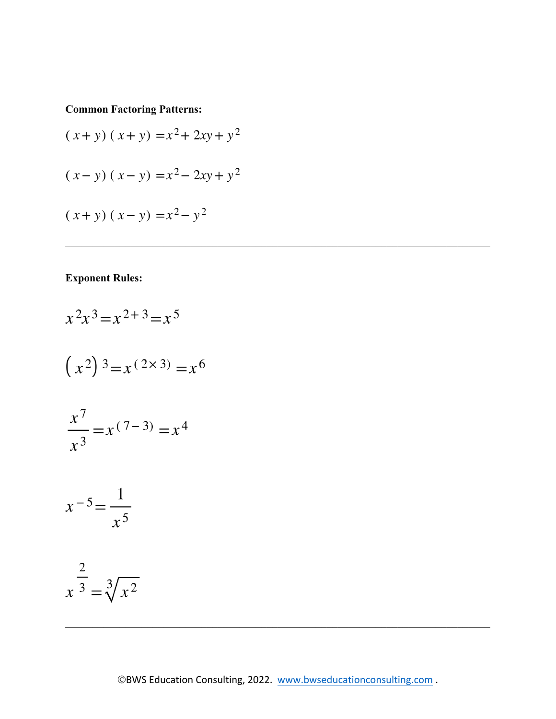**Common Factoring Patterns:**

$$
(x + y) (x + y) = x2 + 2xy + y2
$$
  

$$
(x - y) (x - y) = x2 - 2xy + y2
$$
  

$$
(x + y) (x - y) = x2 - y2
$$

## **Exponent Rules:**

$$
x^{2}x^{3} = x^{2+3} = x^{5}
$$
  
\n
$$
(x^{2})^{3} = x^{(2 \times 3)} = x^{6}
$$
  
\n
$$
\frac{x^{7}}{x^{3}} = x^{(7-3)} = x^{4}
$$
  
\n
$$
x^{-5} = \frac{1}{x^{5}}
$$
  
\n
$$
x^{\frac{2}{3}} = \sqrt[3]{x^{2}}
$$

 $\mathcal{L}_\mathcal{L} = \mathcal{L}_\mathcal{L} = \mathcal{L}_\mathcal{L} = \mathcal{L}_\mathcal{L} = \mathcal{L}_\mathcal{L} = \mathcal{L}_\mathcal{L} = \mathcal{L}_\mathcal{L} = \mathcal{L}_\mathcal{L} = \mathcal{L}_\mathcal{L} = \mathcal{L}_\mathcal{L} = \mathcal{L}_\mathcal{L} = \mathcal{L}_\mathcal{L} = \mathcal{L}_\mathcal{L} = \mathcal{L}_\mathcal{L} = \mathcal{L}_\mathcal{L} = \mathcal{L}_\mathcal{L} = \mathcal{L}_\mathcal{L}$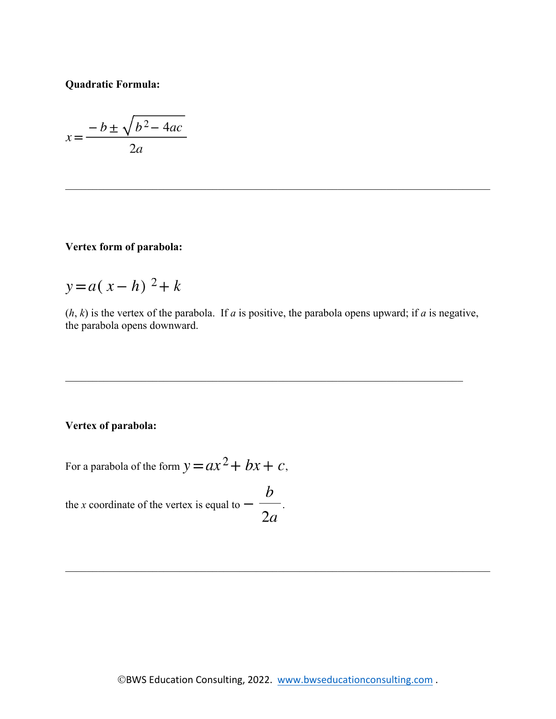**Quadratic Formula:**

$$
x = \frac{-b \pm \sqrt{b^2 - 4ac}}{2a}
$$

### **Vertex form of parabola:**

$$
y = a(x - h)^2 + k
$$

 $(h, k)$  is the vertex of the parabola. If *a* is positive, the parabola opens upward; if *a* is negative, the parabola opens downward.

### **Vertex of parabola:**

For a parabola of the form  $y = ax^2 + bx + c$ ,

the *x* coordinate of the vertex is equal to  $-\frac{b}{2a}$ .

 $\mathcal{L}_\mathcal{L} = \mathcal{L}_\mathcal{L} = \mathcal{L}_\mathcal{L} = \mathcal{L}_\mathcal{L} = \mathcal{L}_\mathcal{L} = \mathcal{L}_\mathcal{L} = \mathcal{L}_\mathcal{L} = \mathcal{L}_\mathcal{L} = \mathcal{L}_\mathcal{L} = \mathcal{L}_\mathcal{L} = \mathcal{L}_\mathcal{L} = \mathcal{L}_\mathcal{L} = \mathcal{L}_\mathcal{L} = \mathcal{L}_\mathcal{L} = \mathcal{L}_\mathcal{L} = \mathcal{L}_\mathcal{L} = \mathcal{L}_\mathcal{L}$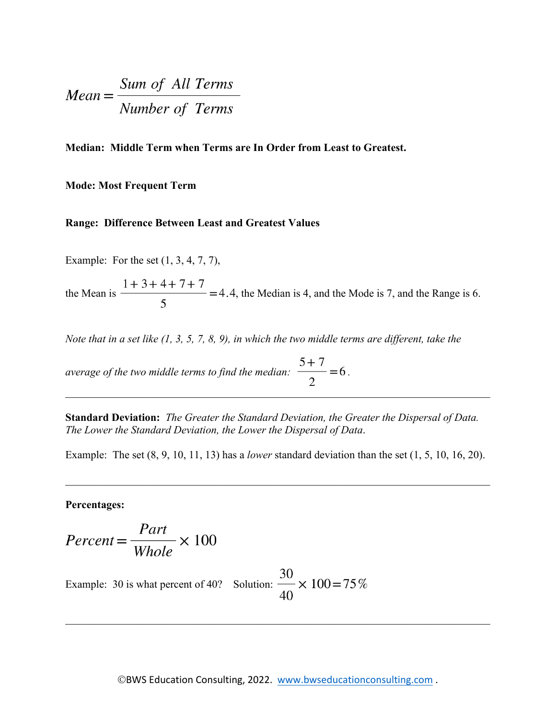$$
Mean = \frac{Sum of All Terms}{Number of Terms}
$$

**Median: Middle Term when Terms are In Order from Least to Greatest.** 

#### **Mode: Most Frequent Term**

#### **Range: Difference Between Least and Greatest Values**

Example: For the set (1, 3, 4, 7, 7),

the Mean is  $\frac{1+3+4+7+7}{5}$  = 4.4, the Median is 4, and the Mode is 7, and the Range is 6.

*Note that in a set like (1, 3, 5, 7, 8, 9), in which the two middle terms are different, take the* 

*average of the two middle terms to find the median:*  $\frac{5+7}{2} = 6$ .  $\mathcal{L}_\mathcal{L} = \mathcal{L}_\mathcal{L} = \mathcal{L}_\mathcal{L} = \mathcal{L}_\mathcal{L} = \mathcal{L}_\mathcal{L} = \mathcal{L}_\mathcal{L} = \mathcal{L}_\mathcal{L} = \mathcal{L}_\mathcal{L} = \mathcal{L}_\mathcal{L} = \mathcal{L}_\mathcal{L} = \mathcal{L}_\mathcal{L} = \mathcal{L}_\mathcal{L} = \mathcal{L}_\mathcal{L} = \mathcal{L}_\mathcal{L} = \mathcal{L}_\mathcal{L} = \mathcal{L}_\mathcal{L} = \mathcal{L}_\mathcal{L}$ 

**Standard Deviation:** *The Greater the Standard Deviation, the Greater the Dispersal of Data. The Lower the Standard Deviation, the Lower the Dispersal of Data*.

Example: The set (8, 9, 10, 11, 13) has a *lower* standard deviation than the set (1, 5, 10, 16, 20).

#### **Percentages:**

$$
Percent = \frac{Part}{Whole} \times 100
$$

Example: 30 is what percent of 40? Solution:  $\frac{30}{40} \times 100 = 75\%$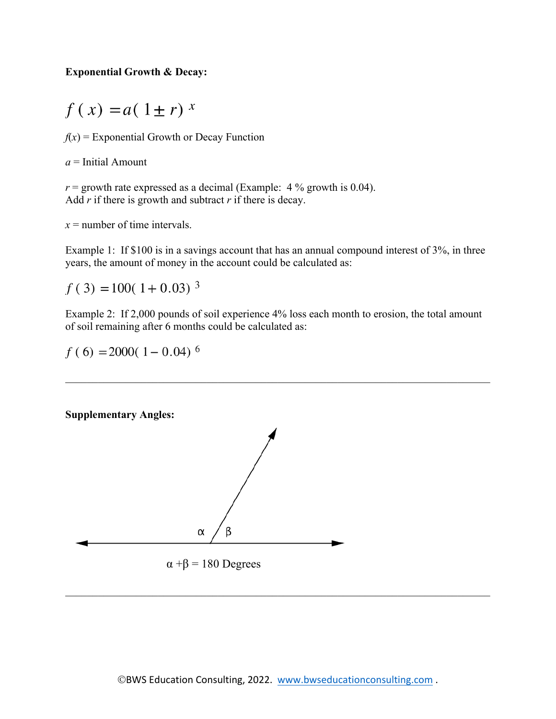### **Exponential Growth & Decay:**

$$
f(x) = a(1 \pm r)^x
$$

 $f(x)$  = Exponential Growth or Decay Function

*a* = Initial Amount

 $r =$  growth rate expressed as a decimal (Example:  $4\%$  growth is 0.04). Add *r* if there is growth and subtract *r* if there is decay.

*x* = number of time intervals.

Example 1: If \$100 is in a savings account that has an annual compound interest of 3%, in three years, the amount of money in the account could be calculated as:

 $f(3) = 100(1 + 0.03)^{3}$ 

Example 2: If 2,000 pounds of soil experience 4% loss each month to erosion, the total amount of soil remaining after 6 months could be calculated as:

 $f(6) = 2000(1 - 0.04)^6$ 

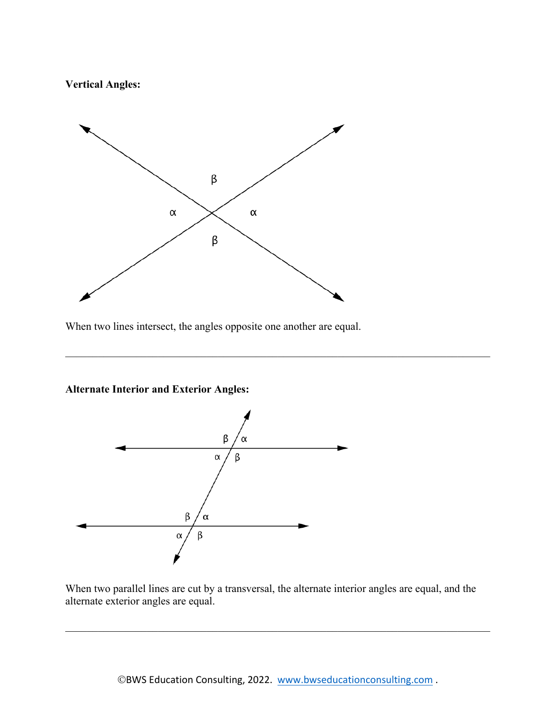**Vertical Angles:**



When two lines intersect, the angles opposite one another are equal.

**Alternate Interior and Exterior Angles:**



When two parallel lines are cut by a transversal, the alternate interior angles are equal, and the alternate exterior angles are equal.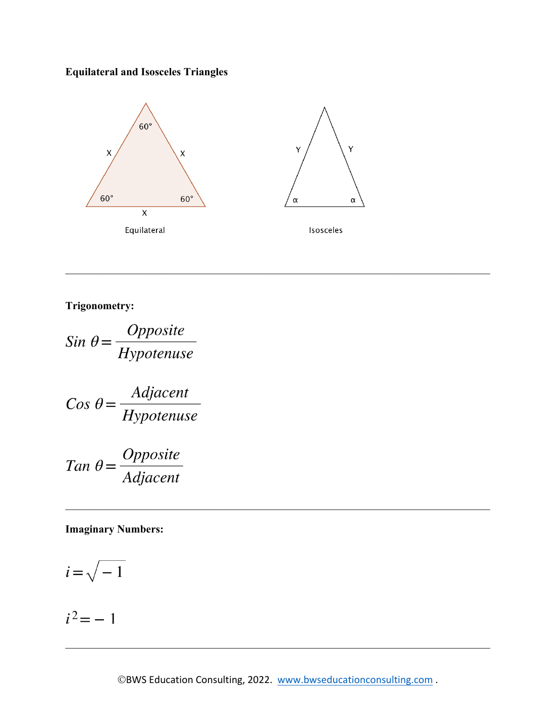## **Equilateral and Isosceles Triangles**



**Trigonometry:**

Sin  $\theta = \frac{Opposite}{Hypotenuse}$ 

$$
Cos \theta = \frac{Adjacent}{Hypotenuse}
$$

$$
Tan \ \theta = \frac{Opposite}{Adjacent}
$$

**Imaginary Numbers:**

$$
i = \sqrt{-1}
$$

$$
i^2 = -1
$$